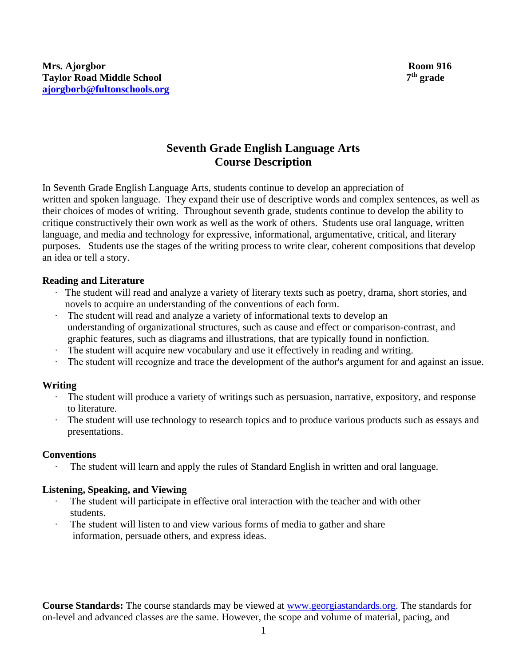# **Seventh Grade English Language Arts Course Description**

In Seventh Grade English Language Arts, students continue to develop an appreciation of written and spoken language. They expand their use of descriptive words and complex sentences, as well as their choices of modes of writing. Throughout seventh grade, students continue to develop the ability to critique constructively their own work as well as the work of others. Students use oral language, written language, and media and technology for expressive, informational, argumentative, critical, and literary purposes. Students use the stages of the writing process to write clear, coherent compositions that develop an idea or tell a story.

# **Reading and Literature**

- ∙ The student will read and analyze a variety of literary texts such as poetry, drama, short stories, and novels to acquire an understanding of the conventions of each form.
- ∙ The student will read and analyze a variety of informational texts to develop an understanding of organizational structures, such as cause and effect or comparison-contrast, and graphic features, such as diagrams and illustrations, that are typically found in nonfiction.
- The student will acquire new vocabulary and use it effectively in reading and writing.
- The student will recognize and trace the development of the author's argument for and against an issue.

# **Writing**

- The student will produce a variety of writings such as persuasion, narrative, expository, and response to literature.
- ∙ The student will use technology to research topics and to produce various products such as essays and presentations.

#### **Conventions**

The student will learn and apply the rules of Standard English in written and oral language.

# **Listening, Speaking, and Viewing**

- The student will participate in effective oral interaction with the teacher and with other students.
- The student will listen to and view various forms of media to gather and share information, persuade others, and express ideas.

**Course Standards:** The course standards may be viewed at [www.georgiastandards.org.](http://www.georgiastandards.org/) The standards for on-level and advanced classes are the same. However, the scope and volume of material, pacing, and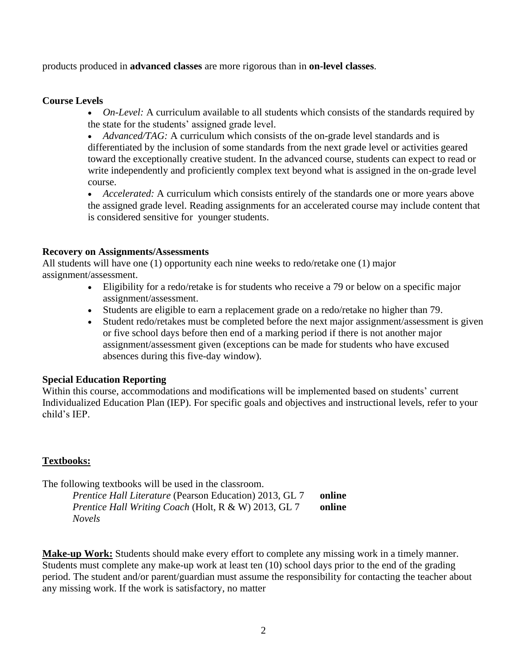products produced in **advanced classes** are more rigorous than in **on-level classes**.

#### **Course Levels**

• *On-Level:* A curriculum available to all students which consists of the standards required by the state for the students' assigned grade level.

• *Advanced/TAG:* A curriculum which consists of the on-grade level standards and is differentiated by the inclusion of some standards from the next grade level or activities geared toward the exceptionally creative student. In the advanced course, students can expect to read or write independently and proficiently complex text beyond what is assigned in the on-grade level course.

• *Accelerated:* A curriculum which consists entirely of the standards one or more years above the assigned grade level. Reading assignments for an accelerated course may include content that is considered sensitive for younger students.

#### **Recovery on Assignments/Assessments**

All students will have one (1) opportunity each nine weeks to redo/retake one (1) major assignment/assessment.

- Eligibility for a redo/retake is for students who receive a 79 or below on a specific major assignment/assessment.
- Students are eligible to earn a replacement grade on a redo/retake no higher than 79.
- Student redo/retakes must be completed before the next major assignment/assessment is given or five school days before then end of a marking period if there is not another major assignment/assessment given (exceptions can be made for students who have excused absences during this five-day window).

# **Special Education Reporting**

Within this course, accommodations and modifications will be implemented based on students' current Individualized Education Plan (IEP). For specific goals and objectives and instructional levels, refer to your child's IEP.

# **Textbooks:**

The following textbooks will be used in the classroom.

| Prentice Hall Literature (Pearson Education) 2013, GL 7 | online |
|---------------------------------------------------------|--------|
| Prentice Hall Writing Coach (Holt, R & W) 2013, GL 7    | online |
| <i>Novels</i>                                           |        |

**Make-up Work:** Students should make every effort to complete any missing work in a timely manner. Students must complete any make-up work at least ten (10) school days prior to the end of the grading period. The student and/or parent/guardian must assume the responsibility for contacting the teacher about any missing work. If the work is satisfactory, no matter